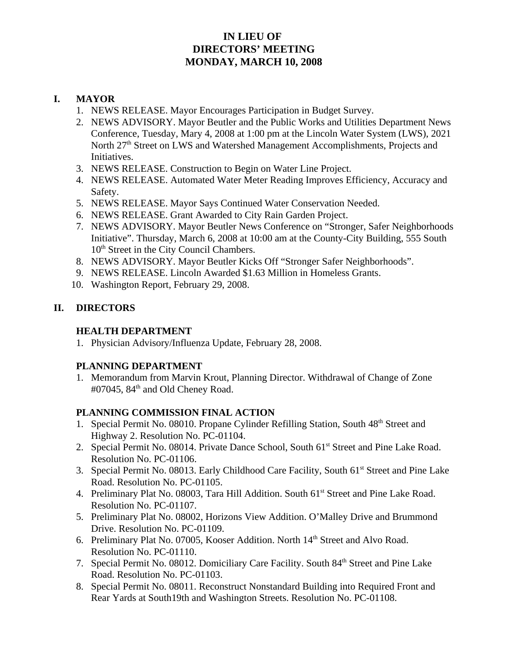# **IN LIEU OF DIRECTORS' MEETING MONDAY, MARCH 10, 2008**

#### **I. MAYOR**

- 1. NEWS RELEASE. Mayor Encourages Participation in Budget Survey.
- 2. NEWS ADVISORY. Mayor Beutler and the Public Works and Utilities Department News Conference, Tuesday, Mary 4, 2008 at 1:00 pm at the Lincoln Water System (LWS), 2021 North 27<sup>th</sup> Street on LWS and Watershed Management Accomplishments, Projects and Initiatives.
- 3. NEWS RELEASE. Construction to Begin on Water Line Project.
- 4. NEWS RELEASE. Automated Water Meter Reading Improves Efficiency, Accuracy and Safety.
- 5. NEWS RELEASE. Mayor Says Continued Water Conservation Needed.
- 6. NEWS RELEASE. Grant Awarded to City Rain Garden Project.
- 7. NEWS ADVISORY. Mayor Beutler News Conference on "Stronger, Safer Neighborhoods Initiative". Thursday, March 6, 2008 at 10:00 am at the County-City Building, 555 South 10<sup>th</sup> Street in the City Council Chambers.
- 8. NEWS ADVISORY. Mayor Beutler Kicks Off "Stronger Safer Neighborhoods".
- 9. NEWS RELEASE. Lincoln Awarded \$1.63 Million in Homeless Grants.
- 10. Washington Report, February 29, 2008.

# **II. DIRECTORS**

### **HEALTH DEPARTMENT**

1. Physician Advisory/Influenza Update, February 28, 2008.

### **PLANNING DEPARTMENT**

1. Memorandum from Marvin Krout, Planning Director. Withdrawal of Change of Zone  $\text{\#07045}$ ,  $\text{84}^{\text{th}}$  and Old Cheney Road.

### **PLANNING COMMISSION FINAL ACTION**

- 1. Special Permit No. 08010. Propane Cylinder Refilling Station, South 48<sup>th</sup> Street and Highway 2. Resolution No. PC-01104.
- 2. Special Permit No. 08014. Private Dance School, South 61<sup>st</sup> Street and Pine Lake Road. Resolution No. PC-01106.
- 3. Special Permit No. 08013. Early Childhood Care Facility, South 61<sup>st</sup> Street and Pine Lake Road. Resolution No. PC-01105.
- 4. Preliminary Plat No. 08003, Tara Hill Addition. South 61<sup>st</sup> Street and Pine Lake Road. Resolution No. PC-01107.
- 5. Preliminary Plat No. 08002, Horizons View Addition. O'Malley Drive and Brummond Drive. Resolution No. PC-01109.
- 6. Preliminary Plat No. 07005, Kooser Addition. North 14<sup>th</sup> Street and Alvo Road. Resolution No. PC-01110.
- 7. Special Permit No. 08012. Domiciliary Care Facility. South 84<sup>th</sup> Street and Pine Lake Road. Resolution No. PC-01103.
- 8. Special Permit No. 08011. Reconstruct Nonstandard Building into Required Front and Rear Yards at South19th and Washington Streets. Resolution No. PC-01108.